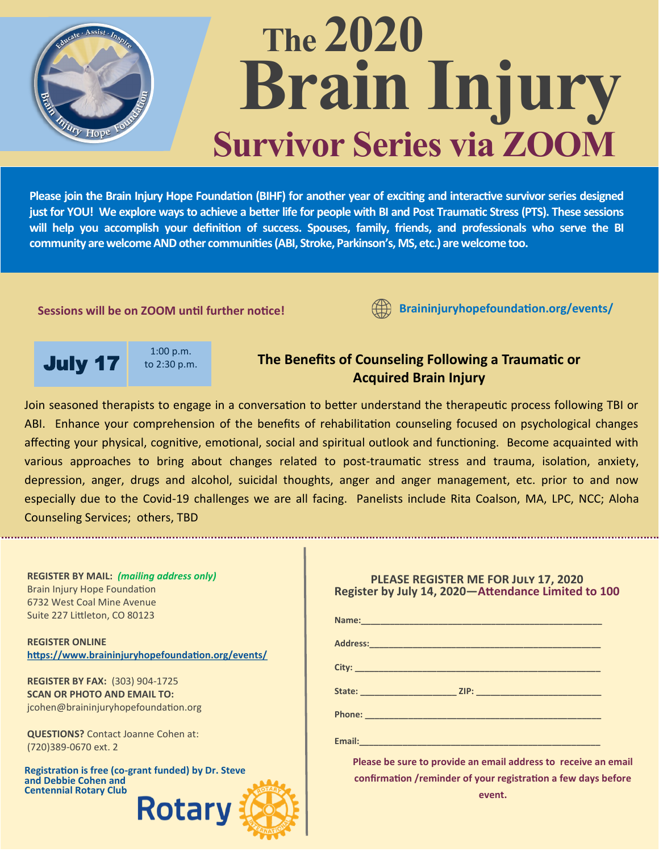

# **The 2020 Brain Injury Survivor Series via ZOOM**

**Please join the Brain Injury Hope Foundation (BIHF) for another year of exciting and interactive survivor series designed just for YOU! We explore ways to achieve a better life for people with BI and Post Traumatic Stress (PTS). These sessions**  will help you accomplish your definition of success. Spouses, family, friends, and professionals who serve the BI **community are welcome AND other communities (ABI, Stroke, Parkinson's, MS, etc.) are welcome too.** 

#### **Sessions will be on ZOOM until further notice!**

**Braininjuryhopefoundation.org/events/**

**July 17** to 2:30 p.m.

1:00 p.m.

## **The Benefits of Counseling Following a Traumatic or Acquired Brain Injury**

Join seasoned therapists to engage in a conversation to better understand the therapeutic process following TBI or ABI. Enhance your comprehension of the benefits of rehabilitation counseling focused on psychological changes affecting your physical, cognitive, emotional, social and spiritual outlook and functioning. Become acquainted with various approaches to bring about changes related to post-traumatic stress and trauma, isolation, anxiety, depression, anger, drugs and alcohol, suicidal thoughts, anger and anger management, etc. prior to and now especially due to the Covid-19 challenges we are all facing. Panelists include Rita Coalson, MA, LPC, NCC; Aloha Counseling Services; others, TBD

| <b>REGISTER BY MAIL: (mailing address only)</b><br>Brain Injury Hope Foundation<br>6732 West Coal Mine Avenue<br>Suite 227 Littleton, CO 80123 | PLEASE REGISTER ME FOR JULY 17, 2020<br>Register by July 14, 2020-Attendance Limited to 100                                               |
|------------------------------------------------------------------------------------------------------------------------------------------------|-------------------------------------------------------------------------------------------------------------------------------------------|
| <b>REGISTER ONLINE</b>                                                                                                                         |                                                                                                                                           |
| https://www.braininjuryhopefoundation.org/events/                                                                                              |                                                                                                                                           |
| <b>REGISTER BY FAX: (303) 904-1725</b>                                                                                                         |                                                                                                                                           |
| <b>SCAN OR PHOTO AND EMAIL TO:</b>                                                                                                             |                                                                                                                                           |
| jcohen@braininjuryhopefoundation.org                                                                                                           |                                                                                                                                           |
| <b>QUESTIONS?</b> Contact Joanne Cohen at:<br>(720)389-0670 ext. 2                                                                             |                                                                                                                                           |
| Registration is free (co-grant funded) by Dr. Steve<br>and Debbie Cohen and<br><b>Centennial Rotary Club</b>                                   | Please be sure to provide an email address to receive an email<br>confirmation /reminder of your registration a few days before<br>event. |